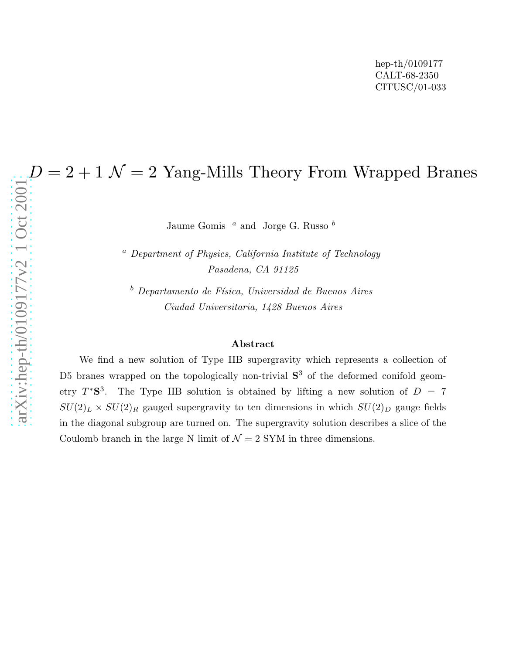Jaume Gomis  $a$  and Jorge G. Russo  $b$ 

<sup>a</sup> Department of Physics, California Institute of Technology Pasadena, CA 91125

 $b$  Departamento de Física, Universidad de Buenos Aires Ciudad Universitaria, 1428 Buenos Aires

## Abstract

 $D = 2 + 1$   $\mathcal{N} = 2$  Yang-Mills Theory From Wrapped Branes<br>  $\frac{1}{20}$ <br>  $\frac{1}{20}$ <br>  $\frac{1}{20}$ <br>  $\frac{1}{20}$ <br>  $\frac{1}{20}$ <br>  $\frac{1}{20}$ <br>  $\frac{1}{20}$ <br>  $\frac{1}{20}$ <br>  $\frac{1}{20}$ <br>  $\frac{1}{20}$ <br>  $\frac{1}{20}$ <br>  $\frac{1}{20}$ <br>  $\frac{1}{20}$ <br>  $\frac{$ We find a new solution of Type IIB supergravity which represents a collection of D5 branes wrapped on the topologically non-trivial  $S<sup>3</sup>$  of the deformed conifold geometry  $T^*S^3$ . The Type IIB solution is obtained by lifting a new solution of  $D = 7$  $SU(2)_L \times SU(2)_R$  gauged supergravity to ten dimensions in which  $SU(2)_D$  gauge fields in the diagonal subgroup are turned on. The supergravity solution describes a slice of the Coulomb branch in the large N limit of  $\mathcal{N} = 2$  SYM in three dimensions.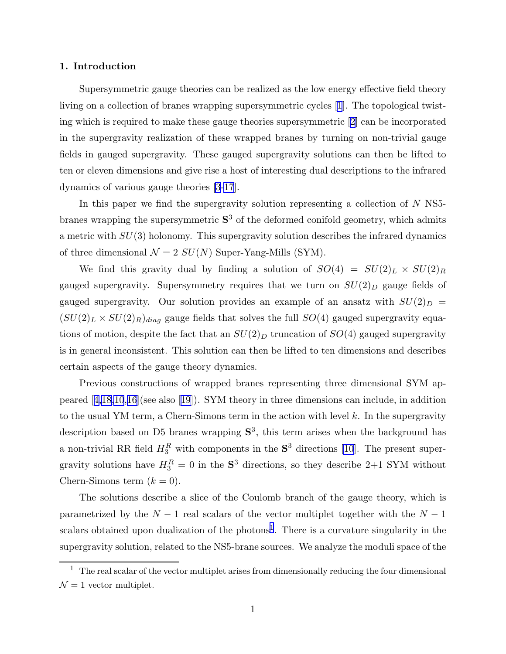## 1. Introduction

Supersymmetric gauge theories can be realized as the low energy effective field theory living on a collection of branes wrapping supersymmetric cycles [\[1](#page-17-0)]. The topological twisting which is required to make these gauge theories supersymmetric [\[2](#page-17-0)] can be incorporated in the supergravity realization of these wrapped branes by turning on non-trivial gauge fields in gauged supergravity. These gauged supergravity solutions can then be lifted to ten or eleven dimensions and give rise a host of interesting dual descriptions to the infrared dynamics of various gauge theories [\[3-17](#page-17-0)].

In this paper we find the supergravity solution representing a collection of  $N$  NS5branes wrapping the supersymmetric  $S<sup>3</sup>$  of the deformed conifold geometry, which admits a metric with  $SU(3)$  holonomy. This supergravity solution describes the infrared dynamics of three dimensional  $\mathcal{N} = 2 SU(N)$  Super-Yang-Mills (SYM).

We find this gravity dual by finding a solution of  $SO(4) = SU(2)_L \times SU(2)_R$ gauged supergravity. Supersymmetry requires that we turn on  $SU(2)_D$  gauge fields of gauged supergravity. Our solution provides an example of an ansatz with  $SU(2)_D$  =  $(SU(2)_L \times SU(2)_R)_{diag}$  gauge fields that solves the full  $SO(4)$  gauged supergravity equations of motion, despite the fact that an  $SU(2)_D$  truncation of  $SO(4)$  gauged supergravity is in general inconsistent. This solution can then be lifted to ten dimensions and describes certain aspects of the gauge theory dynamics.

Previous constructions of wrapped branes representing three dimensional SYM appeared[[4,18,10](#page-17-0),[16\]](#page-17-0)(see also[[19\]](#page-17-0)). SYM theory in three dimensions can include, in addition to the usual YM term, a Chern-Simons term in the action with level  $k$ . In the supergravity description based on D5 branes wrapping  $S^3$ , this term arises when the background has a non-trivial RR field  $H_3^R$  with components in the  $S^3$  directions [\[10](#page-17-0)]. The present supergravity solutions have  $H_3^R = 0$  in the  $S^3$  directions, so they describe 2+1 SYM without Chern-Simons term  $(k = 0)$ .

The solutions describe a slice of the Coulomb branch of the gauge theory, which is parametrized by the  $N-1$  real scalars of the vector multiplet together with the  $N-1$ scalars obtained upon dualization of the photons<sup>1</sup>. There is a curvature singularity in the supergravity solution, related to the NS5-brane sources. We analyze the moduli space of the

 $1$  The real scalar of the vector multiplet arises from dimensionally reducing the four dimensional  $\mathcal{N}=1$  vector multiplet.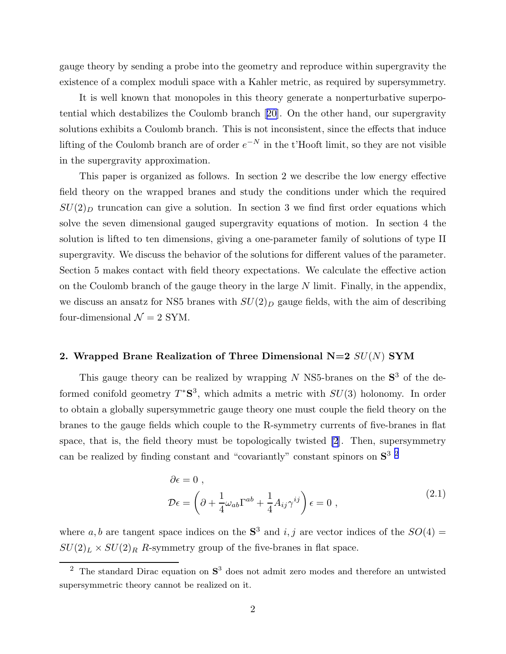<span id="page-2-0"></span>gauge theory by sending a probe into the geometry and reproduce within supergravity the existence of a complex moduli space with a Kahler metric, as required by supersymmetry.

It is well known that monopoles in this theory generate a nonperturbative superpotential which destabilizes the Coulomb branch[[20\]](#page-17-0). On the other hand, our supergravity solutions exhibits a Coulomb branch. This is not inconsistent, since the effects that induce lifting of the Coulomb branch are of order  $e^{-N}$  in the t'Hooft limit, so they are not visible in the supergravity approximation.

This paper is organized as follows. In section 2 we describe the low energy effective field theory on the wrapped branes and study the conditions under which the required  $SU(2)_D$  truncation can give a solution. In section 3 we find first order equations which solve the seven dimensional gauged supergravity equations of motion. In section 4 the solution is lifted to ten dimensions, giving a one-parameter family of solutions of type II supergravity. We discuss the behavior of the solutions for different values of the parameter. Section 5 makes contact with field theory expectations. We calculate the effective action on the Coulomb branch of the gauge theory in the large  $N$  limit. Finally, in the appendix, we discuss an ansatz for NS5 branes with  $SU(2)_D$  gauge fields, with the aim of describing four-dimensional  $\mathcal{N}=2$  SYM.

# 2. Wrapped Brane Realization of Three Dimensional  $N=2$   $SU(N)$  SYM

This gauge theory can be realized by wrapping  $N$  NS5-branes on the  $S<sup>3</sup>$  of the deformed conifold geometry  $T^*S^3$ , which admits a metric with  $SU(3)$  holonomy. In order to obtain a globally supersymmetric gauge theory one must couple the field theory on the branes to the gauge fields which couple to the R-symmetry currents of five-branes in flat space, that is, the field theory must be topologically twisted [\[2](#page-17-0)]. Then, supersymmetry can be realized by finding constant and "covariantly" constant spinors on S 3 2

$$
\partial \epsilon = 0 ,
$$
  
\n
$$
\mathcal{D}\epsilon = \left(\partial + \frac{1}{4}\omega_{ab}\Gamma^{ab} + \frac{1}{4}A_{ij}\gamma^{ij}\right)\epsilon = 0 ,
$$
\n(2.1)

where a, b are tangent space indices on the  $S^3$  and i, j are vector indices of the  $SO(4)$  =  $SU(2)_L \times SU(2)_R$  R-symmetry group of the five-branes in flat space.

<sup>&</sup>lt;sup>2</sup> The standard Dirac equation on  $S^3$  does not admit zero modes and therefore an untwisted supersymmetric theory cannot be realized on it.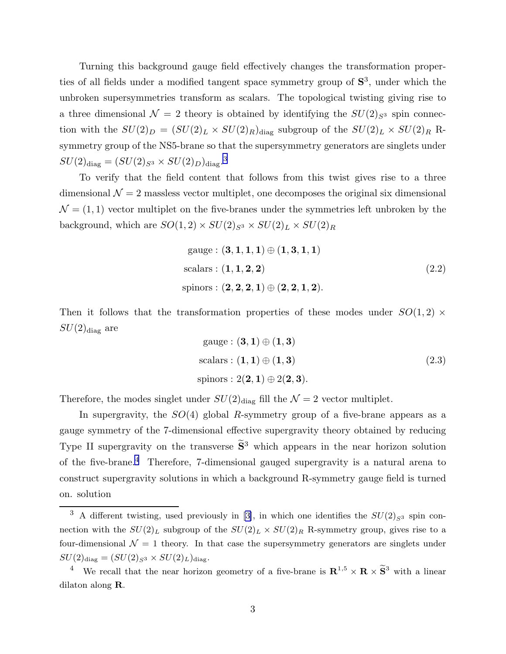Turning this background gauge field effectively changes the transformation properties of all fields under a modified tangent space symmetry group of  $S^3$ , under which the unbroken supersymmetries transform as scalars. The topological twisting giving rise to a three dimensional  $\mathcal{N} = 2$  theory is obtained by identifying the  $SU(2)_{S^3}$  spin connection with the  $SU(2)_D = (SU(2)_L \times SU(2)_R)_{\text{diag}}$  subgroup of the  $SU(2)_L \times SU(2)_R$  Rsymmetry group of the NS5-brane so that the supersymmetry generators are singlets under  $SU(2)_{\textrm{diag}} = (SU(2)_{S^3} \times SU(2)_D)_{\textrm{diag}}.$ <sup>3</sup>

To verify that the field content that follows from this twist gives rise to a three dimensional  $\mathcal{N} = 2$  massless vector multiplet, one decomposes the original six dimensional  $\mathcal{N}=(1,1)$  vector multiplet on the five-branes under the symmetries left unbroken by the background, which are  $SO(1,2) \times SU(2)_{S^3} \times SU(2)_L \times SU(2)_R$ 

$$
gauge: (\mathbf{3}, \mathbf{1}, \mathbf{1}, \mathbf{1}) \oplus (\mathbf{1}, \mathbf{3}, \mathbf{1}, \mathbf{1})
$$
  
scalars: ( $\mathbf{1}, \mathbf{1}, \mathbf{2}, \mathbf{2}$ )  
spinors: ( $\mathbf{2}, \mathbf{2}, \mathbf{2}, \mathbf{1}$ )  $\oplus (\mathbf{2}, \mathbf{2}, \mathbf{1}, \mathbf{2})$ . (2.2)

Then it follows that the transformation properties of these modes under  $SO(1,2)$  ×  $SU(2)_{\text{diag}}$  are

gauge : 
$$
(3, 1) \oplus (1, 3)
$$
  
scalars :  $(1, 1) \oplus (1, 3)$   
spinors :  $2(2, 1) \oplus 2(2, 3)$ . (2.3)

Therefore, the modes singlet under  $SU(2)_{\text{diag}}$  fill the  $\mathcal{N}=2$  vector multiplet.

In supergravity, the  $SO(4)$  global R-symmetry group of a five-brane appears as a gauge symmetry of the 7-dimensional effective supergravity theory obtained by reducing Type II supergravity on the transverse  $\tilde{S}^3$  which appears in the near horizon solution of the five-brane.<sup>4</sup> Therefore, 7-dimensional gauged supergravity is a natural arena to construct supergravity solutions in which a background R-symmetry gauge field is turned on. solution

<sup>&</sup>lt;sup>3</sup> A different twisting, used previously in [\[3\]](#page-17-0), in which one identifies the  $SU(2)_{S^3}$  spin connection with the  $SU(2)_L$  subgroup of the  $SU(2)_L \times SU(2)_R$  R-symmetry group, gives rise to a four-dimensional  $\mathcal{N} = 1$  theory. In that case the supersymmetry generators are singlets under  $SU(2)_{\text{diag}} = (SU(2)_{S^3} \times SU(2)_L)_{\text{diag}}.$ 

<sup>&</sup>lt;sup>4</sup> We recall that the near horizon geometry of a five-brane is  $\mathbb{R}^{1,5} \times \mathbb{R} \times \widetilde{\mathbb{S}}^3$  with a linear dilaton along R.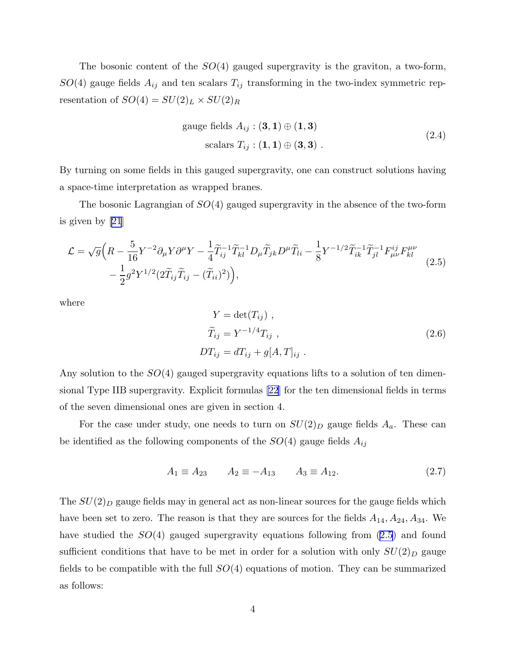<span id="page-4-0"></span>The bosonic content of the  $SO(4)$  gauged supergravity is the graviton, a two-form,  $SO(4)$  gauge fields  $A_{ij}$  and ten scalars  $T_{ij}$  transforming in the two-index symmetric representation of  $SO(4) = SU(2)_L \times SU(2)_R$ 

gauge fields 
$$
A_{ij}: (\mathbf{3}, \mathbf{1}) \oplus (\mathbf{1}, \mathbf{3})
$$
  
scalars  $T_{ij}: (\mathbf{1}, \mathbf{1}) \oplus (\mathbf{3}, \mathbf{3})$ . (2.4)

By turning on some fields in this gauged supergravity, one can construct solutions having a space-time interpretation as wrapped branes.

The bosonic Lagrangian of  $SO(4)$  gauged supergravity in the absence of the two-form is given by [\[21](#page-18-0)]

$$
\mathcal{L} = \sqrt{g} \Big( R - \frac{5}{16} Y^{-2} \partial_{\mu} Y \partial^{\mu} Y - \frac{1}{4} \widetilde{T}_{ij}^{-1} \widetilde{T}_{kl}^{-1} D_{\mu} \widetilde{T}_{jk} D^{\mu} \widetilde{T}_{li} - \frac{1}{8} Y^{-1/2} \widetilde{T}_{ik}^{-1} \widetilde{T}_{jl}^{-1} F_{\mu\nu}^{ij} F_{kl}^{\mu\nu} - \frac{1}{2} g^2 Y^{1/2} (2 \widetilde{T}_{ij} \widetilde{T}_{ij} - (\widetilde{T}_{ii})^2) \Big), \tag{2.5}
$$

where

$$
Y = \det(T_{ij}),
$$
  
\n
$$
\widetilde{T}_{ij} = Y^{-1/4} T_{ij},
$$
  
\n
$$
DT_{ij} = dT_{ij} + g[A, T]_{ij}.
$$
\n(2.6)

Any solution to the  $SO(4)$  gauged supergravity equations lifts to a solution of ten dimensional Type IIB supergravity. Explicit formulas [\[22](#page-18-0)] for the ten dimensional fields in terms of the seven dimensional ones are given in section 4.

For the case under study, one needs to turn on  $SU(2)_D$  gauge fields  $A_a$ . These can be identified as the following components of the  $SO(4)$  gauge fields  $A_{ij}$ 

$$
A_1 \equiv A_{23} \qquad A_2 \equiv -A_{13} \qquad A_3 \equiv A_{12}. \tag{2.7}
$$

The  $SU(2)_D$  gauge fields may in general act as non-linear sources for the gauge fields which have been set to zero. The reason is that they are sources for the fields  $A_{14}$ ,  $A_{24}$ ,  $A_{34}$ . We have studied the  $SO(4)$  gauged supergravity equations following from  $(2.5)$  and found sufficient conditions that have to be met in order for a solution with only  $SU(2)_D$  gauge fields to be compatible with the full  $SO(4)$  equations of motion. They can be summarized as follows: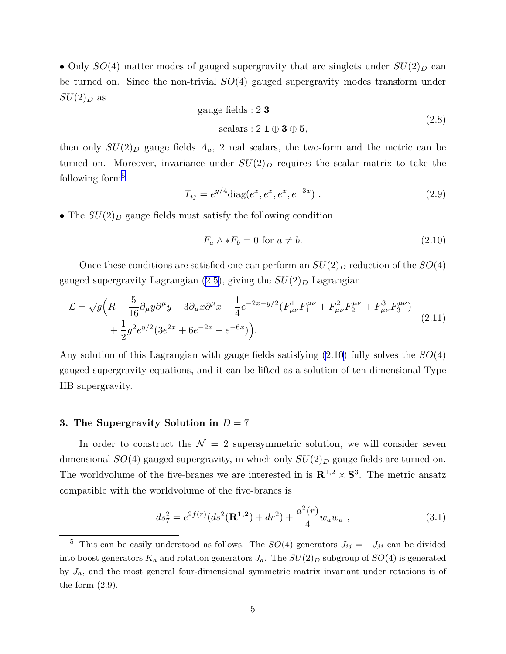<span id="page-5-0"></span>• Only  $SO(4)$  matter modes of gauged supergravity that are singlets under  $SU(2)_D$  can be turned on. Since the non-trivial  $SO(4)$  gauged supergravity modes transform under  $SU(2)_D$  as

gauge fields : 2 3  
scalars : 2 1 
$$
\oplus
$$
 3  $\oplus$  5, (2.8)

then only  $SU(2)_D$  gauge fields  $A_a$ , 2 real scalars, the two-form and the metric can be turned on. Moreover, invariance under  $SU(2)_D$  requires the scalar matrix to take the following form $5$ 

$$
T_{ij} = e^{y/4} \text{diag}(e^x, e^x, e^x, e^{-3x}) \tag{2.9}
$$

• The  $SU(2)_D$  gauge fields must satisfy the following condition

$$
F_a \wedge *F_b = 0 \text{ for } a \neq b. \tag{2.10}
$$

Once these conditions are satisfied one can perform an  $SU(2)_D$  reduction of the  $SO(4)$ gaugedsupergravity Lagrangian  $(2.5)$  $(2.5)$  $(2.5)$ , giving the  $SU(2)_D$  Lagrangian

$$
\mathcal{L} = \sqrt{g} \left( R - \frac{5}{16} \partial_{\mu} y \partial^{\mu} y - 3 \partial_{\mu} x \partial^{\mu} x - \frac{1}{4} e^{-2x - y/2} (F_{\mu\nu}^{1} F_{1}^{\mu\nu} + F_{\mu\nu}^{2} F_{2}^{\mu\nu} + F_{\mu\nu}^{3} F_{3}^{\mu\nu}) + \frac{1}{2} g^{2} e^{y/2} (3e^{2x} + 6e^{-2x} - e^{-6x}) \right).
$$
\n(2.11)

Any solution of this Lagrangian with gauge fields satisfying  $(2.10)$  fully solves the  $SO(4)$ gauged supergravity equations, and it can be lifted as a solution of ten dimensional Type IIB supergravity.

## 3. The Supergravity Solution in  $D = 7$

In order to construct the  $\mathcal{N} = 2$  supersymmetric solution, we will consider seven dimensional  $SO(4)$  gauged supergravity, in which only  $SU(2)_D$  gauge fields are turned on. The worldvolume of the five-branes we are interested in is  $\mathbb{R}^{1,2} \times \mathbb{S}^3$ . The metric ansatz compatible with the worldvolume of the five-branes is

$$
ds_7^2 = e^{2f(r)}(ds^2(\mathbf{R}^{1,2}) + dr^2) + \frac{a^2(r)}{4}w_a w_a , \qquad (3.1)
$$

<sup>&</sup>lt;sup>5</sup> This can be easily understood as follows. The  $SO(4)$  generators  $J_{ij} = -J_{ji}$  can be divided into boost generators  $K_a$  and rotation generators  $J_a$ . The  $SU(2)_D$  subgroup of  $SO(4)$  is generated by  $J_a$ , and the most general four-dimensional symmetric matrix invariant under rotations is of the form  $(2.9)$ .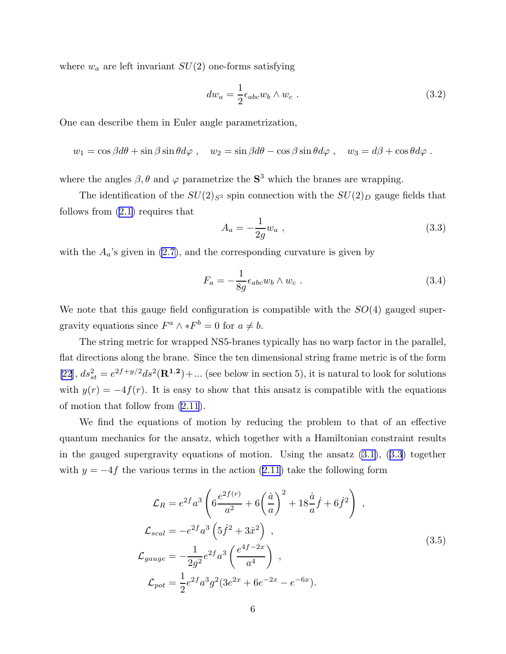<span id="page-6-0"></span>where  $w_a$  are left invariant  $SU(2)$  one-forms satisfying

$$
dw_a = \frac{1}{2} \epsilon_{abc} w_b \wedge w_c \tag{3.2}
$$

One can describe them in Euler angle parametrization,

$$
w_1 = \cos \beta d\theta + \sin \beta \sin \theta d\varphi
$$
,  $w_2 = \sin \beta d\theta - \cos \beta \sin \theta d\varphi$ ,  $w_3 = d\beta + \cos \theta d\varphi$ .

where the angles  $\beta$ ,  $\theta$  and  $\varphi$  parametrize the  $S^3$  which the branes are wrapping.

The identification of the  $SU(2)_{S^3}$  spin connection with the  $SU(2)_D$  gauge fields that follows from [\(2.1\)](#page-2-0) requires that

$$
A_a = -\frac{1}{2g} w_a \t{,} \t(3.3)
$$

with the  $A_a$ 's given in [\(2.7\)](#page-4-0), and the corresponding curvature is given by

$$
F_a = -\frac{1}{8g} \epsilon_{abc} w_b \wedge w_c \ . \tag{3.4}
$$

We note that this gauge field configuration is compatible with the  $SO(4)$  gauged supergravity equations since  $F^a \wedge *F^b = 0$  for  $a \neq b$ .

The string metric for wrapped NS5-branes typically has no warp factor in the parallel, flat directions along the brane. Since the ten dimensional string frame metric is of the form [\[22](#page-18-0)],  $ds_{st}^2 = e^{2f+y/2}ds^2(\mathbf{R}^{1,2}) + ...$  (see below in section 5), it is natural to look for solutions with  $y(r) = -4f(r)$ . It is easy to show that this ansatz is compatible with the equations of motion that follow from [\(2.11\)](#page-5-0).

We find the equations of motion by reducing the problem to that of an effective quantum mechanics for the ansatz, which together with a Hamiltonian constraint results in the gauged supergravity equations of motion. Using the ansatz  $(3.1)$ ,  $(3.3)$  together with $y = -4f$  the various terms in the action ([2.11](#page-5-0)) take the following form

$$
\mathcal{L}_R = e^{2f} a^3 \left( 6 \frac{e^{2f(r)}}{a^2} + 6 \left( \frac{\dot{a}}{a} \right)^2 + 18 \frac{\dot{a}}{a} \dot{f} + 6 \dot{f}^2 \right) ,
$$
  
\n
$$
\mathcal{L}_{scal} = -e^{2f} a^3 \left( 5 \dot{f}^2 + 3 \dot{x}^2 \right) ,
$$
  
\n
$$
\mathcal{L}_{gauge} = -\frac{1}{2g^2} e^{2f} a^3 \left( \frac{e^{4f - 2x}}{a^4} \right) ,
$$
  
\n
$$
\mathcal{L}_{pot} = \frac{1}{2} e^{2f} a^3 g^2 (3e^{2x} + 6e^{-2x} - e^{-6x}).
$$
\n(3.5)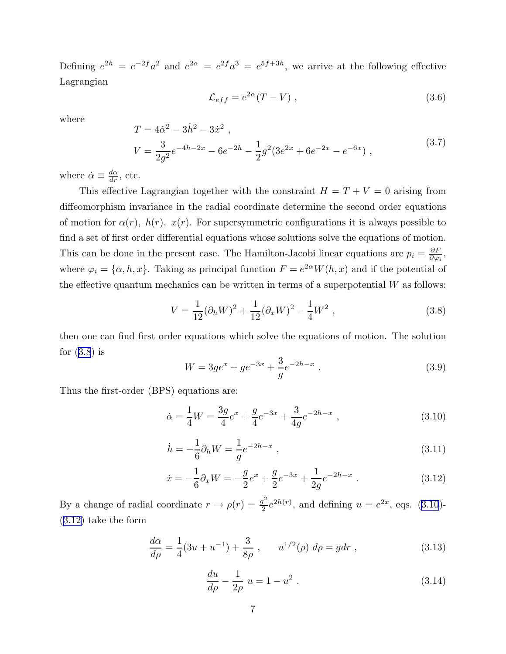<span id="page-7-0"></span>Defining  $e^{2h} = e^{-2f}a^2$  and  $e^{2\alpha} = e^{2f}a^3 = e^{5f+3h}$ , we arrive at the following effective Lagrangian

$$
\mathcal{L}_{eff} = e^{2\alpha}(T - V) \tag{3.6}
$$

where

$$
T = 4\dot{\alpha}^2 - 3\dot{h}^2 - 3\dot{x}^2 ,
$$
  
\n
$$
V = \frac{3}{2g^2}e^{-4h - 2x} - 6e^{-2h} - \frac{1}{2}g^2(3e^{2x} + 6e^{-2x} - e^{-6x}) ,
$$
\n(3.7)

where  $\dot{\alpha} \equiv \frac{d\alpha}{dr}$ , etc.

This effective Lagrangian together with the constraint  $H = T + V = 0$  arising from diffeomorphism invariance in the radial coordinate determine the second order equations of motion for  $\alpha(r)$ ,  $h(r)$ ,  $x(r)$ . For supersymmetric configurations it is always possible to find a set of first order differential equations whose solutions solve the equations of motion. This can be done in the present case. The Hamilton-Jacobi linear equations are  $p_i = \frac{\partial F}{\partial \varphi_i}$  $\frac{\partial F}{\partial \varphi_i},$ where  $\varphi_i = {\alpha, h, x}$ . Taking as principal function  $F = e^{2\alpha}W(h, x)$  and if the potential of the effective quantum mechanics can be written in terms of a superpotential  $W$  as follows:

$$
V = \frac{1}{12} (\partial_h W)^2 + \frac{1}{12} (\partial_x W)^2 - \frac{1}{4} W^2 , \qquad (3.8)
$$

then one can find first order equations which solve the equations of motion. The solution for  $(3.8)$  is

$$
W = 3ge^{x} + ge^{-3x} + \frac{3}{g}e^{-2h-x} .
$$
\n(3.9)

Thus the first-order (BPS) equations are:

$$
\dot{\alpha} = \frac{1}{4}W = \frac{3g}{4}e^x + \frac{g}{4}e^{-3x} + \frac{3}{4g}e^{-2h-x} ,\qquad (3.10)
$$

$$
\dot{h} = -\frac{1}{6}\partial_h W = \frac{1}{g}e^{-2h-x} \,,\tag{3.11}
$$

$$
\dot{x} = -\frac{1}{6}\partial_x W = -\frac{g}{2}e^x + \frac{g}{2}e^{-3x} + \frac{1}{2g}e^{-2h-x} . \tag{3.12}
$$

By a change of radial coordinate  $r \to \rho(r) = \frac{g^2}{2}$  $\frac{q^2}{2}e^{2h(r)}$ , and defining  $u = e^{2x}$ , eqs. (3.10)-(3.12) take the form

$$
\frac{d\alpha}{d\rho} = \frac{1}{4}(3u + u^{-1}) + \frac{3}{8\rho}, \qquad u^{1/2}(\rho) \ d\rho = gdr \ , \tag{3.13}
$$

$$
\frac{du}{d\rho} - \frac{1}{2\rho} u = 1 - u^2.
$$
\n(3.14)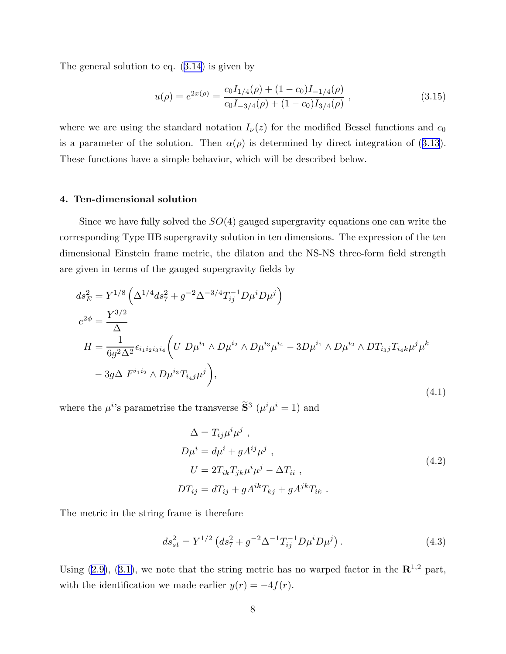<span id="page-8-0"></span>The general solution to eq.([3.14\)](#page-7-0) is given by

$$
u(\rho) = e^{2x(\rho)} = \frac{c_0 I_{1/4}(\rho) + (1 - c_0)I_{-1/4}(\rho)}{c_0 I_{-3/4}(\rho) + (1 - c_0)I_{3/4}(\rho)},
$$
\n(3.15)

where we are using the standard notation  $I_{\nu}(z)$  for the modified Bessel functions and  $c_0$ isa parameter of the solution. Then  $\alpha(\rho)$  is determined by direct integration of ([3.13](#page-7-0)). These functions have a simple behavior, which will be described below.

## 4. Ten-dimensional solution

Since we have fully solved the  $SO(4)$  gauged supergravity equations one can write the corresponding Type IIB supergravity solution in ten dimensions. The expression of the ten dimensional Einstein frame metric, the dilaton and the NS-NS three-form field strength are given in terms of the gauged supergravity fields by

$$
ds_E^2 = Y^{1/8} \left( \Delta^{1/4} ds_7^2 + g^{-2} \Delta^{-3/4} T_{ij}^{-1} D \mu^i D \mu^j \right)
$$
  
\n
$$
e^{2\phi} = \frac{Y^{3/2}}{\Delta}
$$
  
\n
$$
H = \frac{1}{6g^2 \Delta^2} \epsilon_{i_1 i_2 i_3 i_4} \left( U D \mu^{i_1} \wedge D \mu^{i_2} \wedge D \mu^{i_3} \mu^{i_4} - 3 D \mu^{i_1} \wedge D \mu^{i_2} \wedge D T_{i_3 j} T_{i_4 k} \mu^j \mu^k - 3 g \Delta F^{i_1 i_2} \wedge D \mu^{i_3} T_{i_4 j} \mu^j \right),
$$
\n
$$
(4.1)
$$

where the  $\mu^{i}$ 's parametrise the transverse  $\hat{\mathbf{S}}^3$  ( $\mu^{i}\mu^{i} = 1$ ) and

$$
\Delta = T_{ij}\mu^i \mu^j ,
$$
  
\n
$$
D\mu^i = d\mu^i + gA^{ij}\mu^j ,
$$
  
\n
$$
U = 2T_{ik}T_{jk}\mu^i \mu^j - \Delta T_{ii} ,
$$
  
\n
$$
DT_{ij} = dT_{ij} + gA^{ik}T_{kj} + gA^{jk}T_{ik} .
$$
\n(4.2)

The metric in the string frame is therefore

$$
ds_{st}^2 = Y^{1/2} \left( ds_7^2 + g^{-2} \Delta^{-1} T_{ij}^{-1} D \mu^i D \mu^j \right). \tag{4.3}
$$

Using([2.9](#page-5-0)), [\(3.1\)](#page-5-0), we note that the string metric has no warped factor in the  $\mathbb{R}^{1,2}$  part, with the identification we made earlier  $y(r) = -4f(r)$ .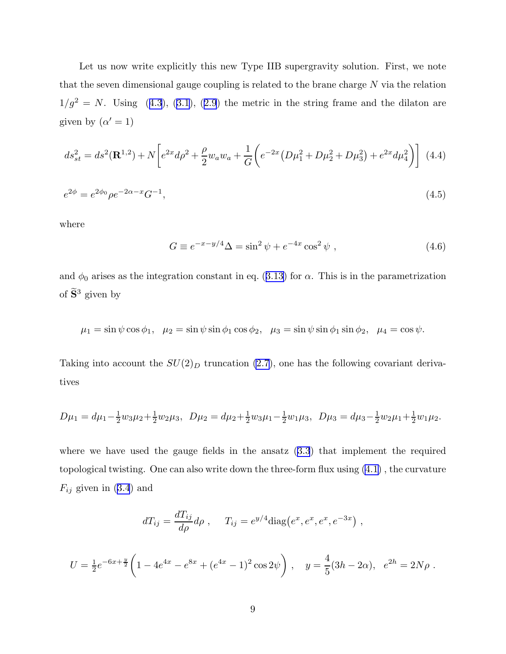Let us now write explicitly this new Type IIB supergravity solution. First, we note that the seven dimensional gauge coupling is related to the brane charge  $N$  via the relation  $1/g^2 = N$  $1/g^2 = N$  $1/g^2 = N$ . Using ([4.3](#page-8-0)), ([3.1](#page-5-0)), ([2.9](#page-5-0)) the metric in the string frame and the dilaton are given by  $(\alpha' = 1)$ 

$$
ds_{st}^{2} = ds^{2}(\mathbf{R}^{1,2}) + N \left[ e^{2x} d\rho^{2} + \frac{\rho}{2} w_{a} w_{a} + \frac{1}{G} \left( e^{-2x} \left( D\mu_{1}^{2} + D\mu_{2}^{2} + D\mu_{3}^{2} \right) + e^{2x} d\mu_{4}^{2} \right) \right]
$$
(4.4)  

$$
e^{2\phi} = e^{2\phi_{0}} \rho e^{-2\alpha - x} G^{-1},
$$
(4.5)

where

$$
G \equiv e^{-x-y/4} \Delta = \sin^2 \psi + e^{-4x} \cos^2 \psi , \qquad (4.6)
$$

and $\phi_0$  arises as the integration constant in eq. ([3.13](#page-7-0)) for  $\alpha$ . This is in the parametrization of  $\widetilde{\mathbf{S}}^3$  given by

$$
\mu_1 = \sin \psi \cos \phi_1, \quad \mu_2 = \sin \psi \sin \phi_1 \cos \phi_2, \quad \mu_3 = \sin \psi \sin \phi_1 \sin \phi_2, \quad \mu_4 = \cos \psi.
$$

Taking into account the  $SU(2)_D$  truncation [\(2.7\)](#page-4-0), one has the following covariant derivatives

$$
D\mu_1 = d\mu_1 - \frac{1}{2}w_3\mu_2 + \frac{1}{2}w_2\mu_3, \quad D\mu_2 = d\mu_2 + \frac{1}{2}w_3\mu_1 - \frac{1}{2}w_1\mu_3, \quad D\mu_3 = d\mu_3 - \frac{1}{2}w_2\mu_1 + \frac{1}{2}w_1\mu_2.
$$

where we have used the gauge fields in the ansatz  $(3.3)$  that implement the required topological twisting. One can also write down the three-form flux using [\(4.1\)](#page-8-0) , the curvature  $F_{ij}$ given in ([3.4](#page-6-0)) and

$$
dT_{ij} = \frac{dT_{ij}}{d\rho} d\rho , \quad T_{ij} = e^{y/4} \text{diag}(e^x, e^x, e^x, e^{-3x}) ,
$$

$$
U = \frac{1}{2}e^{-6x + \frac{y}{2}} \left( 1 - 4e^{4x} - e^{8x} + (e^{4x} - 1)^2 \cos 2\psi \right), \quad y = \frac{4}{5}(3h - 2\alpha), \quad e^{2h} = 2N\rho.
$$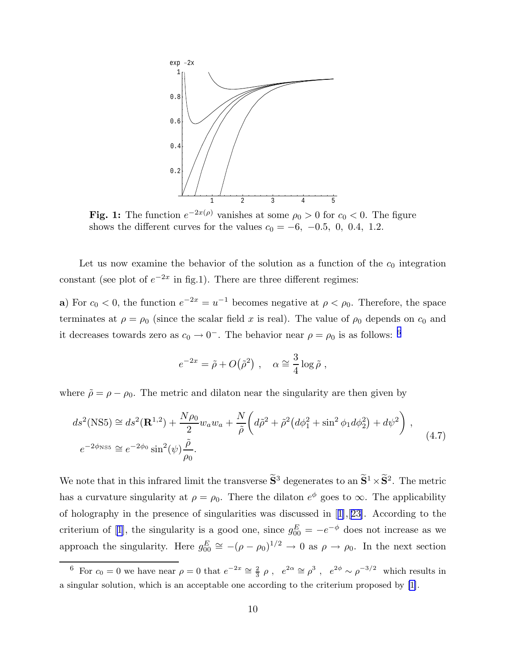<span id="page-10-0"></span>

**Fig. 1:** The function  $e^{-2x(\rho)}$  vanishes at some  $\rho_0 > 0$  for  $c_0 < 0$ . The figure shows the different curves for the values  $c_0 = -6$ ,  $-0.5$ , 0, 0.4, 1.2.

Let us now examine the behavior of the solution as a function of the  $c_0$  integration constant (see plot of  $e^{-2x}$  in fig.1). There are three different regimes:

a) For  $c_0 < 0$ , the function  $e^{-2x} = u^{-1}$  becomes negative at  $\rho < \rho_0$ . Therefore, the space terminates at  $\rho = \rho_0$  (since the scalar field x is real). The value of  $\rho_0$  depends on  $c_0$  and it decreases towards zero as  $c_0 \to 0^-$ . The behavior near  $\rho = \rho_0$  is as follows: <sup>6</sup>

$$
e^{-2x} = \tilde{\rho} + O(\tilde{\rho}^2) , \quad \alpha \cong \frac{3}{4} \log \tilde{\rho} ,
$$

where  $\tilde{\rho} = \rho - \rho_0$ . The metric and dilaton near the singularity are then given by

$$
ds^{2}(\text{NS5}) \cong ds^{2}(\mathbf{R}^{1,2}) + \frac{N\rho_{0}}{2}w_{a}w_{a} + \frac{N}{\tilde{\rho}}\left(d\tilde{\rho}^{2} + \tilde{\rho}^{2}\left(d\phi_{1}^{2} + \sin^{2}\phi_{1}d\phi_{2}^{2}\right) + d\psi^{2}\right),
$$
  
\n
$$
e^{-2\phi_{\text{NS5}}} \cong e^{-2\phi_{0}}\sin^{2}(\psi)\frac{\tilde{\rho}}{\rho_{0}}.
$$
\n(4.7)

We note that in this infrared limit the transverse  $\tilde{S}^3$  degenerates to an  $\tilde{S}^1 \times \tilde{S}^2$ . The metric has a curvature singularity at  $\rho = \rho_0$ . There the dilaton  $e^{\phi}$  goes to  $\infty$ . The applicability of holography in the presence of singularities was discussed in[[1\]](#page-17-0),[[23\]](#page-18-0). According to the criteriumof [[1\]](#page-17-0), the singularity is a good one, since  $g_{00}^{E} = -e^{-\phi}$  does not increase as we approach the singularity. Here  $g_{00}^E \cong -(\rho - \rho_0)^{1/2} \to 0$  as  $\rho \to \rho_0$ . In the next section

<sup>&</sup>lt;sup>6</sup> For  $c_0 = 0$  we have near  $\rho = 0$  that  $e^{-2x} \approx \frac{2}{3}$  $\frac{2}{3}$   $\rho$ ,  $e^{2\alpha} \cong \rho^3$ ,  $e^{2\phi} \sim \rho^{-3/2}$  which results in a singular solution, which is an acceptable one according to the criterium proposed by [\[1\]](#page-17-0).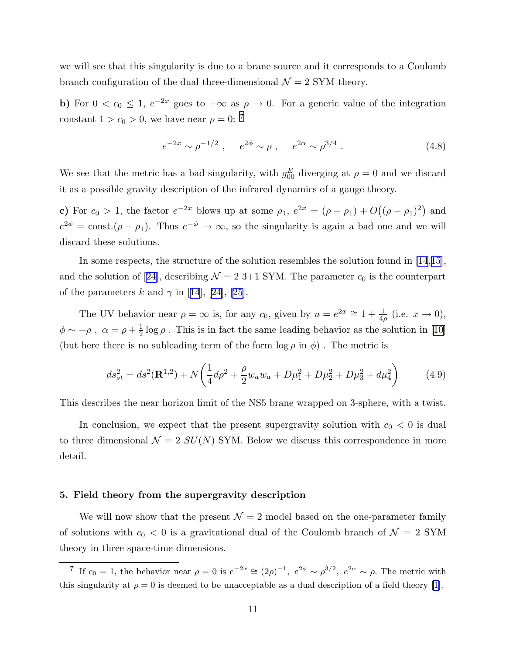we will see that this singularity is due to a brane source and it corresponds to a Coulomb branch configuration of the dual three-dimensional  $\mathcal{N}=2$  SYM theory.

b) For  $0 < c_0 \leq 1$ ,  $e^{-2x}$  goes to  $+\infty$  as  $\rho \to 0$ . For a generic value of the integration constant  $1 > c_0 > 0$ , we have near  $\rho = 0$ : <sup>7</sup>

$$
e^{-2x} \sim \rho^{-1/2}
$$
,  $e^{2\phi} \sim \rho$ ,  $e^{2\alpha} \sim \rho^{3/4}$ . (4.8)

We see that the metric has a bad singularity, with  $g_{00}^E$  diverging at  $\rho = 0$  and we discard it as a possible gravity description of the infrared dynamics of a gauge theory.

c) For  $c_0 > 1$ , the factor  $e^{-2x}$  blows up at some  $\rho_1$ ,  $e^{2x} = (\rho - \rho_1) + O((\rho - \rho_1)^2)$  and  $e^{2\phi} = \text{const.}(\rho - \rho_1)$ . Thus  $e^{-\phi} \to \infty$ , so the singularity is again a bad one and we will discard these solutions.

In some respects, the structure of the solution resembles the solution found in [\[14](#page-17-0),[15\]](#page-17-0), andthe solution of [[24](#page-18-0)], describing  $\mathcal{N} = 23+1$  SYM. The parameter  $c_0$  is the counterpart ofthe parameters k and  $\gamma$  in [\[14](#page-17-0)], [[24\]](#page-18-0), [[25\]](#page-18-0).

The UV behavior near  $\rho = \infty$  is, for any  $c_0$ , given by  $u = e^{2x} \approx 1 + \frac{1}{4\rho}$  (i.e.  $x \to 0$ ),  $\phi \sim -\rho$ ,  $\alpha = \rho + \frac{1}{2}$  $\frac{1}{2}$ log  $\rho$ . This is in fact the same leading behavior as the solution in [[10\]](#page-17-0) (but here there is no subleading term of the form  $\log \rho$  in  $\phi$ ). The metric is

$$
ds_{st}^{2} = ds^{2}(\mathbf{R}^{1,2}) + N\left(\frac{1}{4}d\rho^{2} + \frac{\rho}{2}w_{a}w_{a} + D\mu_{1}^{2} + D\mu_{2}^{2} + D\mu_{3}^{2} + d\mu_{4}^{2}\right)
$$
(4.9)

This describes the near horizon limit of the NS5 brane wrapped on 3-sphere, with a twist.

In conclusion, we expect that the present supergravity solution with  $c_0 < 0$  is dual to three dimensional  $\mathcal{N} = 2 SU(N)$  SYM. Below we discuss this correspondence in more detail.

## 5. Field theory from the supergravity description

We will now show that the present  $\mathcal{N}=2$  model based on the one-parameter family of solutions with  $c_0 < 0$  is a gravitational dual of the Coulomb branch of  $\mathcal{N} = 2$  SYM theory in three space-time dimensions.

<sup>&</sup>lt;sup>7</sup> If  $c_0 = 1$ , the behavior near  $\rho = 0$  is  $e^{-2x} \cong (2\rho)^{-1}$ ,  $e^{2\phi} \sim \rho^{3/2}$ ,  $e^{2\alpha} \sim \rho$ . The metric with this singularity at  $\rho = 0$  is deemed to be unacceptable as a dual description of a field theory [\[1\]](#page-17-0).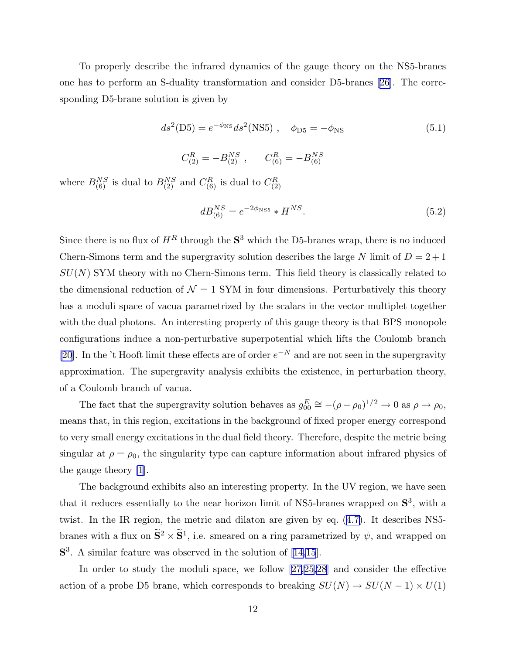To properly describe the infrared dynamics of the gauge theory on the NS5-branes one has to perform an S-duality transformation and consider D5-branes[[26\]](#page-18-0). The corresponding D5-brane solution is given by

$$
ds^{2}(D5) = e^{-\phi_{\rm NS}} ds^{2}(\rm NS5) , \quad \phi_{D5} = -\phi_{\rm NS}
$$
 (5.1)

$$
C_{(2)}^R = -B_{(2)}^{NS}
$$
,  $C_{(6)}^R = -B_{(6)}^{NS}$ 

where  $B_{(6)}^{NS}$  is dual to  $B_{(2)}^{NS}$  and  $C_{(6)}^R$  is dual to  $C_{(2)}^R$ (2)

$$
dB_{(6)}^{NS} = e^{-2\phi_{\rm NS5}} * H^{NS}.
$$
\n(5.2)

Since there is no flux of  $H^R$  through the  $S^3$  which the D5-branes wrap, there is no induced Chern-Simons term and the supergravity solution describes the large N limit of  $D = 2 + 1$  $SU(N)$  SYM theory with no Chern-Simons term. This field theory is classically related to the dimensional reduction of  $\mathcal{N} = 1$  SYM in four dimensions. Perturbatively this theory has a moduli space of vacua parametrized by the scalars in the vector multiplet together with the dual photons. An interesting property of this gauge theory is that BPS monopole configurations induce a non-perturbative superpotential which lifts the Coulomb branch [\[20](#page-17-0)]. In the 't Hooft limit these effects are of order  $e^{-N}$  and are not seen in the supergravity approximation. The supergravity analysis exhibits the existence, in perturbation theory, of a Coulomb branch of vacua.

The fact that the supergravity solution behaves as  $g_{00}^E \approx -(\rho - \rho_0)^{1/2} \rightarrow 0$  as  $\rho \rightarrow \rho_0$ , means that, in this region, excitations in the background of fixed proper energy correspond to very small energy excitations in the dual field theory. Therefore, despite the metric being singular at  $\rho = \rho_0$ , the singularity type can capture information about infrared physics of the gauge theory [\[1](#page-17-0)].

The background exhibits also an interesting property. In the UV region, we have seen that it reduces essentially to the near horizon limit of NS5-branes wrapped on  $S^3$ , with a twist. In the IR region, the metric and dilaton are given by eq. [\(4.7\)](#page-10-0). It describes NS5 branes with a flux on  $\tilde{S}^2 \times \tilde{S}^1$ , i.e. smeared on a ring parametrized by  $\psi$ , and wrapped on S<sup>3</sup>. A similar feature was observed in the solution of [\[14,15](#page-17-0)].

In order to study the moduli space, we follow[[27,25,28](#page-18-0)] and consider the effective action of a probe D5 brane, which corresponds to breaking  $SU(N) \rightarrow SU(N-1) \times U(1)$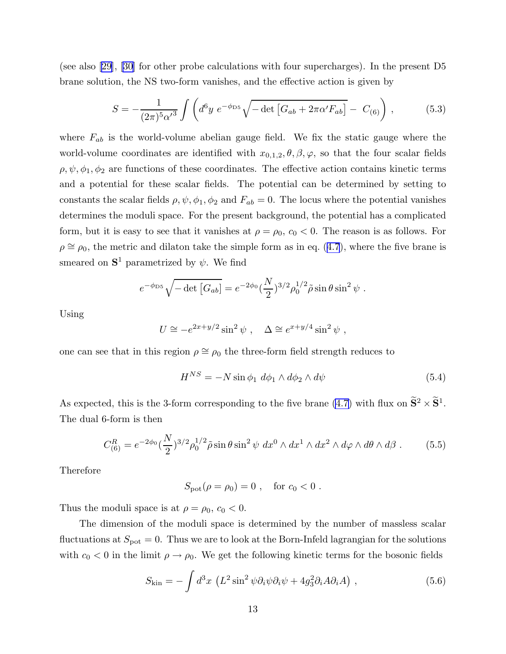(see also [\[29](#page-18-0)],[[30](#page-18-0)] for other probe calculations with four supercharges). In the present D5 brane solution, the NS two-form vanishes, and the effective action is given by

$$
S = -\frac{1}{(2\pi)^5 \alpha'^3} \int \left( d^6 y \ e^{-\phi_{\rm D5}} \sqrt{-\det \left[ G_{ab} + 2\pi \alpha' F_{ab} \right]} - C_{(6)} \right) , \tag{5.3}
$$

where  $F_{ab}$  is the world-volume abelian gauge field. We fix the static gauge where the world-volume coordinates are identified with  $x_{0,1,2}, \theta, \beta, \varphi$ , so that the four scalar fields  $\rho, \psi, \phi_1, \phi_2$  are functions of these coordinates. The effective action contains kinetic terms and a potential for these scalar fields. The potential can be determined by setting to constants the scalar fields  $\rho, \psi, \phi_1, \phi_2$  and  $F_{ab} = 0$ . The locus where the potential vanishes determines the moduli space. For the present background, the potential has a complicated form, but it is easy to see that it vanishes at  $\rho = \rho_0$ ,  $c_0 < 0$ . The reason is as follows. For  $\rho \cong \rho_0$  $\rho \cong \rho_0$  $\rho \cong \rho_0$ , the metric and dilaton take the simple form as in eq. ([4.7](#page-10-0)), where the five brane is smeared on  $S^1$  parametrized by  $\psi$ . We find

$$
e^{-\phi_{\rm D5}}\sqrt{-\det\left[G_{ab}\right]} = e^{-2\phi_0}(\frac{N}{2})^{3/2}\rho_0^{1/2}\tilde{\rho}\sin\theta\sin^2\psi.
$$

Using

$$
U \cong -e^{2x+y/2}\sin^2\psi \ , \quad \Delta \cong e^{x+y/4}\sin^2\psi \ ,
$$

one can see that in this region  $\rho \cong \rho_0$  the three-form field strength reduces to

$$
H^{NS} = -N\sin\phi_1 \ d\phi_1 \wedge d\phi_2 \wedge d\psi \tag{5.4}
$$

As expected, this is the 3-form corresponding to the five brane [\(4.7\)](#page-10-0) with flux on  $\tilde{S}^2 \times \tilde{S}^1$ . The dual 6-form is then

$$
C_{(6)}^R = e^{-2\phi_0} \left(\frac{N}{2}\right)^{3/2} \rho_0^{1/2} \tilde{\rho} \sin \theta \sin^2 \psi \, dx^0 \wedge dx^1 \wedge dx^2 \wedge d\varphi \wedge d\theta \wedge d\beta \,. \tag{5.5}
$$

Therefore

$$
S_{\text{pot}}(\rho = \rho_0) = 0
$$
, for  $c_0 < 0$ .

Thus the moduli space is at  $\rho = \rho_0, c_0 < 0$ .

The dimension of the moduli space is determined by the number of massless scalar fluctuations at  $S_{\text{pot}} = 0$ . Thus we are to look at the Born-Infeld lagrangian for the solutions with  $c_0 < 0$  in the limit  $\rho \to \rho_0$ . We get the following kinetic terms for the bosonic fields

$$
S_{\rm kin} = -\int d^3x \, \left( L^2 \sin^2 \psi \partial_i \psi \partial_i \psi + 4g_3^2 \partial_i A \partial_i A \right) \,, \tag{5.6}
$$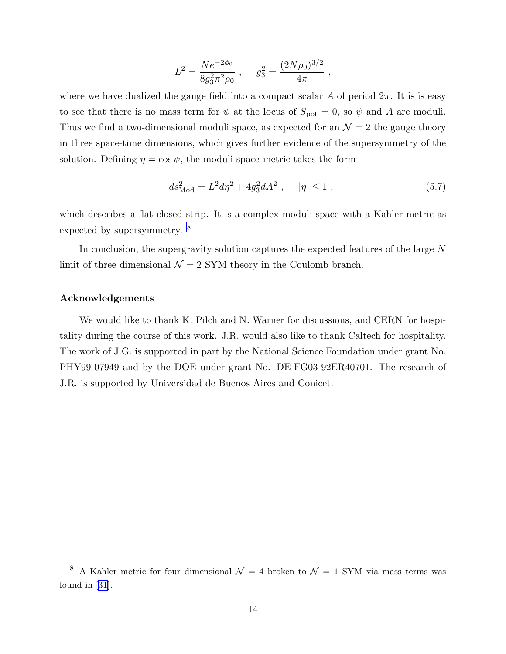$$
L^2 = \frac{Ne^{-2\phi_0}}{8g_3^2\pi^2\rho_0} , \quad g_3^2 = \frac{(2N\rho_0)^{3/2}}{4\pi} ,
$$

where we have dualized the gauge field into a compact scalar A of period  $2\pi$ . It is is easy to see that there is no mass term for  $\psi$  at the locus of  $S_{pot} = 0$ , so  $\psi$  and A are moduli. Thus we find a two-dimensional moduli space, as expected for an  $\mathcal{N}=2$  the gauge theory in three space-time dimensions, which gives further evidence of the supersymmetry of the solution. Defining  $\eta = \cos \psi$ , the moduli space metric takes the form

$$
ds_{\text{Mod}}^2 = L^2 d\eta^2 + 4g_3^2 dA^2 \ , \quad |\eta| \le 1 \ , \tag{5.7}
$$

which describes a flat closed strip. It is a complex moduli space with a Kahler metric as expected by supersymmetry. <sup>8</sup>

In conclusion, the supergravity solution captures the expected features of the large N limit of three dimensional  $\mathcal{N} = 2$  SYM theory in the Coulomb branch.

## Acknowledgements

We would like to thank K. Pilch and N. Warner for discussions, and CERN for hospitality during the course of this work. J.R. would also like to thank Caltech for hospitality. The work of J.G. is supported in part by the National Science Foundation under grant No. PHY99-07949 and by the DOE under grant No. DE-FG03-92ER40701. The research of J.R. is supported by Universidad de Buenos Aires and Conicet.

<sup>&</sup>lt;sup>8</sup> A Kahler metric for four dimensional  $\mathcal{N} = 4$  broken to  $\mathcal{N} = 1$  SYM via mass terms was found in[[31](#page-18-0)].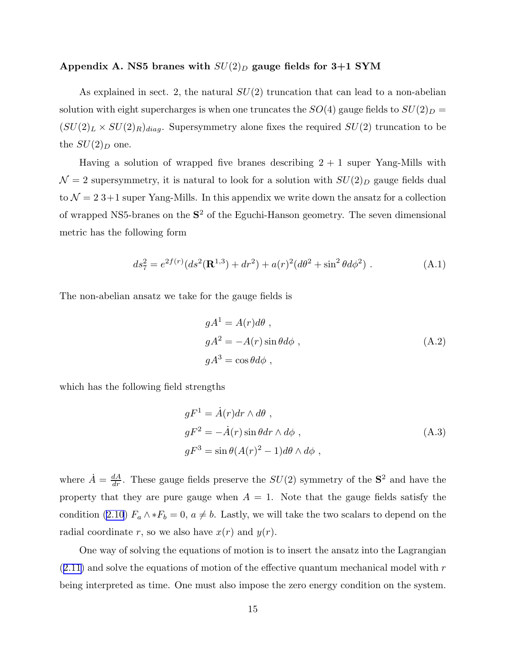## Appendix A. NS5 branes with  $SU(2)_D$  gauge fields for 3+1 SYM

As explained in sect. 2, the natural  $SU(2)$  truncation that can lead to a non-abelian solution with eight supercharges is when one truncates the  $SO(4)$  gauge fields to  $SU(2)_D =$  $(SU(2)_L \times SU(2)_R)_{diag}$ . Supersymmetry alone fixes the required  $SU(2)$  truncation to be the  $SU(2)_D$  one.

Having a solution of wrapped five branes describing  $2 + 1$  super Yang-Mills with  $\mathcal{N}=2$  supersymmetry, it is natural to look for a solution with  $SU(2)_D$  gauge fields dual to  $\mathcal{N} = 23 + 1$  super Yang-Mills. In this appendix we write down the ansatz for a collection of wrapped NS5-branes on the  $S^2$  of the Eguchi-Hanson geometry. The seven dimensional metric has the following form

$$
ds_7^2 = e^{2f(r)}(ds^2(\mathbf{R}^{1,3}) + dr^2) + a(r)^2(d\theta^2 + \sin^2\theta d\phi^2)
$$
 (A.1)

The non-abelian ansatz we take for the gauge fields is

$$
gA1 = A(r)d\theta,
$$
  
\n
$$
gA2 = -A(r)\sin\theta d\phi,
$$
  
\n
$$
gA3 = \cos\theta d\phi,
$$
  
\n(A.2)

which has the following field strengths

$$
gF^{1} = \dot{A}(r)dr \wedge d\theta ,
$$
  
\n
$$
gF^{2} = -\dot{A}(r)\sin\theta dr \wedge d\phi ,
$$
  
\n
$$
gF^{3} = \sin\theta (A(r)^{2} - 1)d\theta \wedge d\phi ,
$$
\n(A.3)

where  $\dot{A} = \frac{dA}{dr}$ . These gauge fields preserve the  $SU(2)$  symmetry of the  $S^2$  and have the property that they are pure gauge when  $A = 1$ . Note that the gauge fields satisfy the condition([2.10](#page-5-0))  $F_a \wedge *F_b = 0$ ,  $a \neq b$ . Lastly, we will take the two scalars to depend on the radial coordinate r, so we also have  $x(r)$  and  $y(r)$ .

One way of solving the equations of motion is to insert the ansatz into the Lagrangian  $(2.11)$  $(2.11)$  $(2.11)$  and solve the equations of motion of the effective quantum mechanical model with r being interpreted as time. One must also impose the zero energy condition on the system.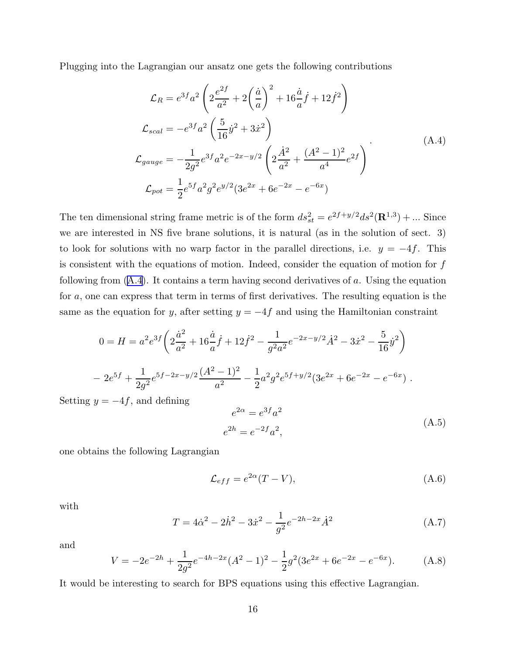Plugging into the Lagrangian our ansatz one gets the following contributions

$$
\mathcal{L}_R = e^{3f}a^2 \left( 2\frac{e^{2f}}{a^2} + 2\left(\frac{\dot{a}}{a}\right)^2 + 16\frac{\dot{a}}{a}\dot{f} + 12\dot{f}^2 \right)
$$
\n
$$
\mathcal{L}_{scal} = -e^{3f}a^2 \left( \frac{5}{16}\dot{y}^2 + 3\dot{x}^2 \right)
$$
\n
$$
\mathcal{L}_{gauge} = -\frac{1}{2g^2}e^{3f}a^2e^{-2x-y/2} \left( 2\frac{\dot{A}^2}{a^2} + \frac{(A^2 - 1)^2}{a^4}e^{2f} \right)
$$
\n
$$
\mathcal{L}_{pot} = \frac{1}{2}e^{5f}a^2g^2e^{y/2}(3e^{2x} + 6e^{-2x} - e^{-6x})
$$
\n(A.4)

The ten dimensional string frame metric is of the form  $ds_{st}^2 = e^{2f+y/2} ds^2(\mathbf{R}^{1,3}) + ...$  Since we are interested in NS five brane solutions, it is natural (as in the solution of sect. 3) to look for solutions with no warp factor in the parallel directions, i.e.  $y = -4f$ . This is consistent with the equations of motion. Indeed, consider the equation of motion for f following from  $(A.4)$ . It contains a term having second derivatives of a. Using the equation for a, one can express that term in terms of first derivatives. The resulting equation is the same as the equation for y, after setting  $y = -4f$  and using the Hamiltonian constraint

$$
0 = H = a^2 e^{3f} \left( 2 \frac{\dot{a}^2}{a^2} + 16 \frac{\dot{a}}{a} \dot{f} + 12 \dot{f}^2 - \frac{1}{g^2 a^2} e^{-2x - y/2} \dot{A}^2 - 3 \dot{x}^2 - \frac{5}{16} \dot{y}^2 \right)
$$
  
- 
$$
2e^{5f} + \frac{1}{2g^2} e^{5f - 2x - y/2} \frac{(A^2 - 1)^2}{a^2} - \frac{1}{2} a^2 g^2 e^{5f + y/2} (3e^{2x} + 6e^{-2x} - e^{-6x}) .
$$

Setting  $y = -4f$ , and defining

$$
e^{2\alpha} = e^{3f}a^2
$$
  
\n
$$
e^{2h} = e^{-2f}a^2,
$$
\n(A.5)

one obtains the following Lagrangian

$$
\mathcal{L}_{eff} = e^{2\alpha}(T - V),\tag{A.6}
$$

with

$$
T = 4\dot{\alpha}^2 - 2\dot{h}^2 - 3\dot{x}^2 - \frac{1}{g^2}e^{-2h - 2x}\dot{A}^2
$$
 (A.7)

and

$$
V = -2e^{-2h} + \frac{1}{2g^2}e^{-4h - 2x}(A^2 - 1)^2 - \frac{1}{2}g^2(3e^{2x} + 6e^{-2x} - e^{-6x}).
$$
 (A.8)

It would be interesting to search for BPS equations using this effective Lagrangian.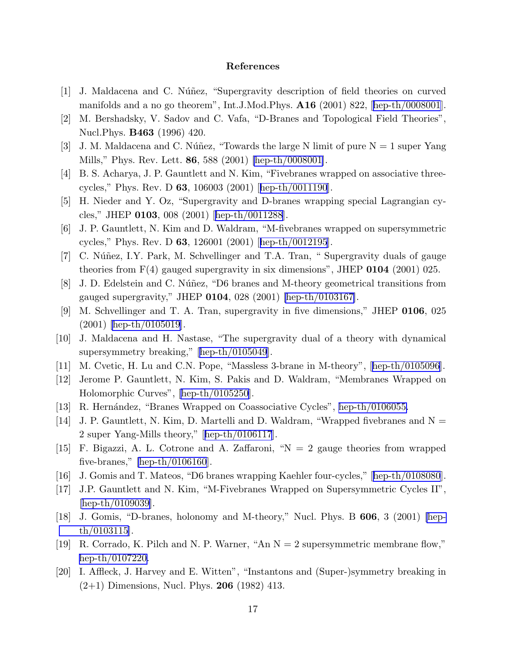## References

- <span id="page-17-0"></span>[1] J. Maldacena and C. Núñez, "Supergravity description of field theories on curved manifolds and a no go theorem", Int.J.Mod.Phys. A16 (2001) 822,[[hep-th/0008001](http://arXiv.org/abs/hep-th/0008001)].
- [2] M. Bershadsky, V. Sadov and C. Vafa, "D-Branes and Topological Field Theories", Nucl.Phys. B463 (1996) 420.
- [3] J. M. Maldacena and C. Núñez, "Towards the large N limit of pure  $N = 1$  super Yang Mills," Phys. Rev. Lett. 86, 588 (2001) [\[hep-th/0008001](http://arXiv.org/abs/hep-th/0008001)].
- [4] B. S. Acharya, J. P. Gauntlett and N. Kim, "Fivebranes wrapped on associative threecycles," Phys. Rev. D 63, 106003 (2001)[[hep-th/0011190](http://arXiv.org/abs/hep-th/0011190)].
- [5] H. Nieder and Y. Oz, "Supergravity and D-branes wrapping special Lagrangian cycles," JHEP 0103, 008 (2001)[[hep-th/0011288](http://arXiv.org/abs/hep-th/0011288)].
- [6] J. P. Gauntlett, N. Kim and D. Waldram, "M-fivebranes wrapped on supersymmetric cycles," Phys. Rev. D 63, 126001 (2001)[[hep-th/0012195](http://arXiv.org/abs/hep-th/0012195)].
- [7] C. Núñez, I.Y. Park, M. Schvellinger and T.A. Tran, "Supergravity duals of gauge theories from  $F(4)$  gauged supergravity in six dimensions", JHEP 0104 (2001) 025.
- [8] J. D. Edelstein and C. Núñez, "D6 branes and M-theory geometrical transitions from gauged supergravity," JHEP  $0104$ , 028 (2001) [\[hep-th/0103167\]](http://arXiv.org/abs/hep-th/0103167).
- [9] M. Schvellinger and T. A. Tran, supergravity in five dimensions," JHEP 0106, 025 (2001) [\[hep-th/0105019](http://arXiv.org/abs/hep-th/0105019)].
- [10] J. Maldacena and H. Nastase, "The supergravity dual of a theory with dynamical supersymmetry breaking,"[[hep-th/0105049](http://arXiv.org/abs/hep-th/0105049)].
- [11] M. Cvetic, H. Lu and C.N. Pope, "Massless 3-brane in M-theory",[[hep-th/0105096](http://arXiv.org/abs/hep-th/0105096)].
- [12] Jerome P. Gauntlett, N. Kim, S. Pakis and D. Waldram, "Membranes Wrapped on Holomorphic Curves", [\[hep-th/0105250\]](http://arXiv.org/abs/hep-th/0105250).
- [13] R. Hernández, "Branes Wrapped on Coassociative Cycles", [hep-th/0106055.](http://arXiv.org/abs/hep-th/0106055)
- [14] J. P. Gauntlett, N. Kim, D. Martelli and D. Waldram, "Wrapped fivebranes and  $N =$ 2 super Yang-Mills theory,"[[hep-th/0106117](http://arXiv.org/abs/hep-th/0106117)].
- [15] F. Bigazzi, A. L. Cotrone and A. Zaffaroni, "N = 2 gauge theories from wrapped five-branes,"  $[hepth/0106160]$ .
- [16] J. Gomis and T. Mateos, "D6 branes wrapping Kaehler four-cycles,"[[hep-th/0108080](http://arXiv.org/abs/hep-th/0108080)].
- [17] J.P. Gauntlett and N. Kim, "M-Fivebranes Wrapped on Supersymmetric Cycles II", [\[hep-th/0109039\]](http://arXiv.org/abs/hep-th/0109039).
- [18] J. Gomis, "D-branes, holonomy and M-theory," Nucl. Phys. B 606, 3 (2001) [\[hep](http://arXiv.org/abs/hep-th/0103115)[th/0103115](http://arXiv.org/abs/hep-th/0103115)].
- [19] R. Corrado, K. Pilch and N. P. Warner, "An  $N = 2$  supersymmetric membrane flow," [hep-th/0107220.](http://arXiv.org/abs/hep-th/0107220)
- [20] I. Affleck, J. Harvey and E. Witten", "Instantons and (Super-)symmetry breaking in  $(2+1)$  Dimensions, Nucl. Phys. **206** (1982) 413.